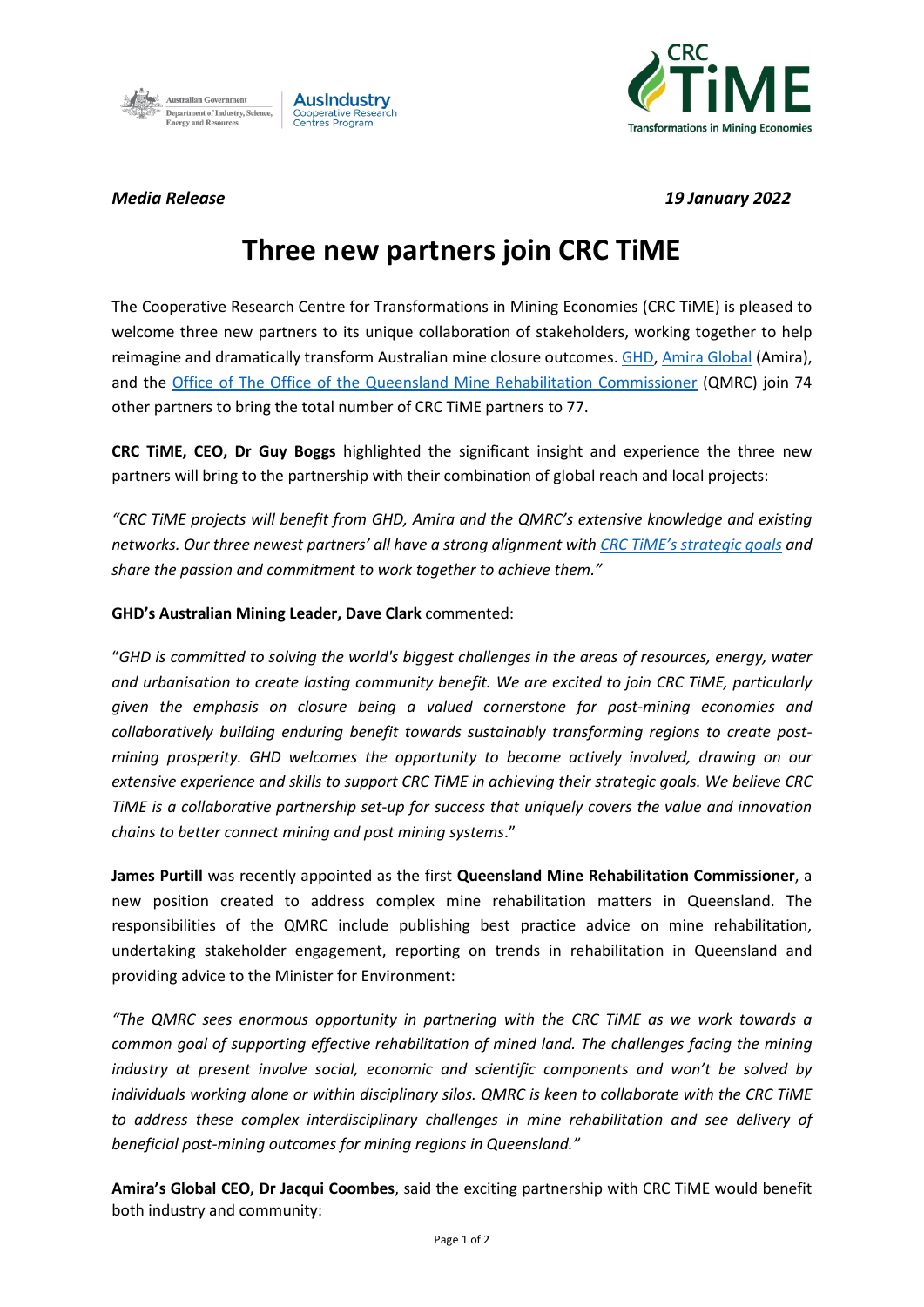



*Media Release 19 January 2022*

## **Three new partners join CRC TiME**

The Cooperative Research Centre for Transformations in Mining Economies (CRC TiME) is pleased to welcome three new partners to its unique collaboration of stakeholders, working together to help reimagine and dramatically transform Australian mine closure outcomes[. GHD,](https://www.ghd.com/en-au/index.aspx) [Amira Global](https://amira.global/) (Amira), and the [Office of The Office of the Queensland Mine Rehabilitation](https://www.qld.gov.au/environment/land/management/rehab-commissioner) Commissioner (QMRC) join 74 other partners to bring the total number of CRC TiME partners to 77.

**CRC TiME, CEO, Dr Guy Boggs** highlighted the significant insight and experience the three new partners will bring to the partnership with their combination of global reach and local projects:

*"CRC TiME projects will benefit from GHD, Amira and the QMRC's extensive knowledge and existing networks. Our three newest partners' all have a strong alignment with CRC TiME's [strategic goals](https://crctime.com.au/macwp/wp-content/uploads/2021/11/CRCTiME-Strategic-Plan-2021_2024.pdf) and share the passion and commitment to work together to achieve them."*

## **GHD's Australian Mining Leader, Dave Clark** commented:

"*GHD is committed to solving the world's biggest challenges in the areas of resources, energy, water and urbanisation to create lasting community benefit. We are excited to join CRC TiME, particularly given the emphasis on closure being a valued cornerstone for post-mining economies and collaboratively building enduring benefit towards sustainably transforming regions to create postmining prosperity. GHD welcomes the opportunity to become actively involved, drawing on our extensive experience and skills to support CRC TiME in achieving their strategic goals. We believe CRC TiME is a collaborative partnership set-up for success that uniquely covers the value and innovation chains to better connect mining and post mining systems*."

**James Purtill** was recently appointed as the first **Queensland Mine Rehabilitation Commissioner**, a new position created to address complex mine rehabilitation matters in Queensland. The responsibilities of the QMRC include publishing best practice advice on mine rehabilitation, undertaking stakeholder engagement, reporting on trends in rehabilitation in Queensland and providing advice to the Minister for Environment:

*"The QMRC sees enormous opportunity in partnering with the CRC TiME as we work towards a common goal of supporting effective rehabilitation of mined land. The challenges facing the mining industry at present involve social, economic and scientific components and won't be solved by individuals working alone or within disciplinary silos. QMRC is keen to collaborate with the CRC TiME to address these complex interdisciplinary challenges in mine rehabilitation and see delivery of beneficial post-mining outcomes for mining regions in Queensland."*

**Amira's Global CEO, Dr Jacqui Coombes**, said the exciting partnership with CRC TiME would benefit both industry and community: